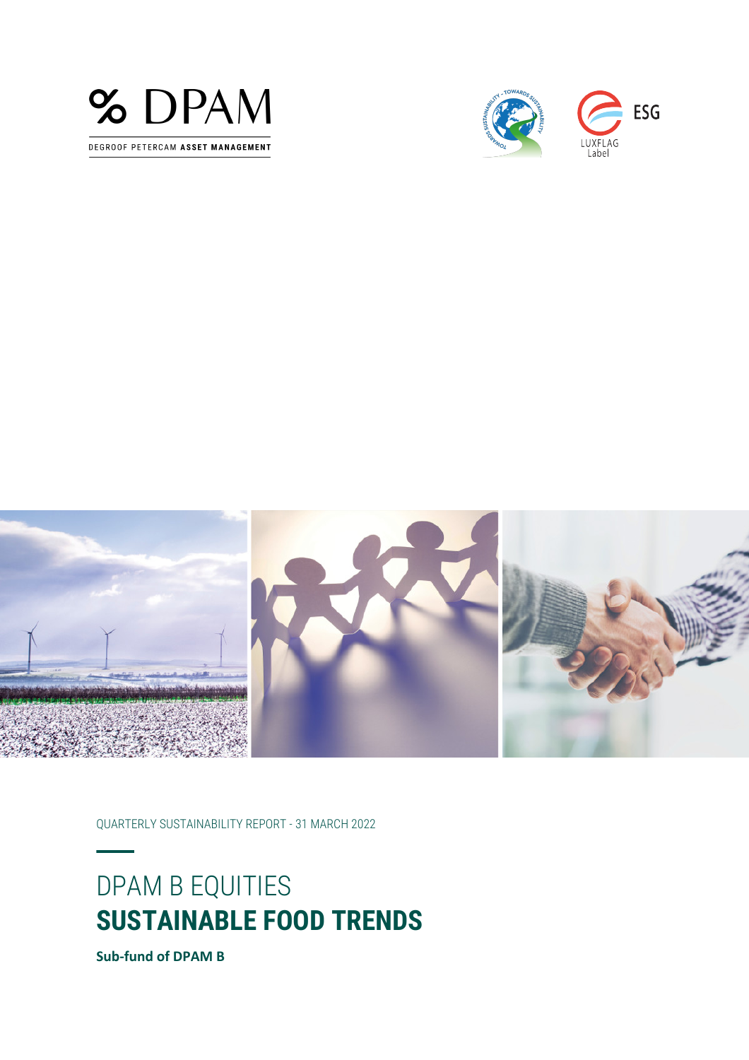





QUARTERLY SUSTAINABILITY REPORT - 31 MARCH 2022

# DPAM B EQUITIES **SUSTAINABLE FOOD TRENDS**

**Sub-fund of DPAM B**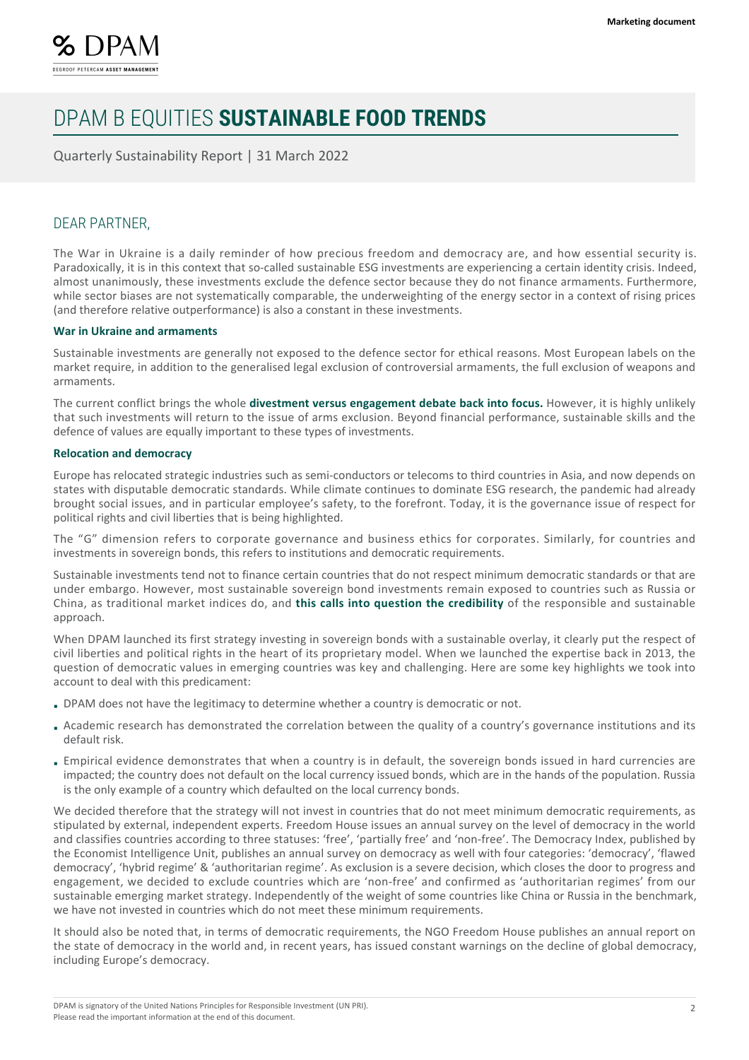

Quarterly Sustainability Report | 31 March 2022

### DEAR PARTNER,

The War in Ukraine is a daily reminder of how precious freedom and democracy are, and how essential security is. Paradoxically, it is in this context that so-called sustainable ESG investments are experiencing a certain identity crisis. Indeed, almost unanimously, these investments exclude the defence sector because they do not finance armaments. Furthermore, while sector biases are not systematically comparable, the underweighting of the energy sector in a context of rising prices (and therefore relative outperformance) is also a constant in these investments.

#### **War in Ukraine and armaments**

Sustainable investments are generally not exposed to the defence sector for ethical reasons. Most European labels on the market require, in addition to the generalised legal exclusion of controversial armaments, the full exclusion of weapons and armaments.

The current conflict brings the whole **divestment versus engagement debate back into focus.** However, it is highly unlikely that such investments will return to the issue of arms exclusion. Beyond financial performance, sustainable skills and the defence of values are equally important to these types of investments.

#### **Relocation and democracy**

Europe has relocated strategic industries such as semi-conductors or telecoms to third countries in Asia, and now depends on states with disputable democratic standards. While climate continues to dominate ESG research, the pandemic had already brought social issues, and in particular employee's safety, to the forefront. Today, it is the governance issue of respect for political rights and civil liberties that is being highlighted.

The "G" dimension refers to corporate governance and business ethics for corporates. Similarly, for countries and investments in sovereign bonds, this refers to institutions and democratic requirements.

Sustainable investments tend not to finance certain countries that do not respect minimum democratic standards or that are under embargo. However, most sustainable sovereign bond investments remain exposed to countries such as Russia or China, as traditional market indices do, and **this calls into question the credibility** of the responsible and sustainable approach.

When DPAM launched its first strategy investing in sovereign bonds with a sustainable overlay, it clearly put the respect of civil liberties and political rights in the heart of its proprietary model. When we launched the expertise back in 2013, the question of democratic values in emerging countries was key and challenging. Here are some key highlights we took into account to deal with this predicament:

- DPAM does not have the legitimacy to determine whether a country is democratic or not.
- Academic research has demonstrated the correlation between the quality of a country's governance institutions and its default risk.
- Empirical evidence demonstrates that when a country is in default, the sovereign bonds issued in hard currencies are impacted; the country does not default on the local currency issued bonds, which are in the hands of the population. Russia is the only example of a country which defaulted on the local currency bonds.

We decided therefore that the strategy will not invest in countries that do not meet minimum democratic requirements, as stipulated by external, independent experts. Freedom House issues an annual survey on the level of democracy in the world and classifies countries according to three statuses: 'free', 'partially free' and 'non-free'. The Democracy Index, published by the Economist Intelligence Unit, publishes an annual survey on democracy as well with four categories: 'democracy', 'flawed democracy', 'hybrid regime' & 'authoritarian regime'. As exclusion is a severe decision, which closes the door to progress and engagement, we decided to exclude countries which are 'non-free' and confirmed as 'authoritarian regimes' from our sustainable emerging market strategy. Independently of the weight of some countries like China or Russia in the benchmark, we have not invested in countries which do not meet these minimum requirements.

It should also be noted that, in terms of democratic requirements, the NGO Freedom House publishes an annual report on the state of democracy in the world and, in recent years, has issued constant warnings on the decline of global democracy, including Europe's democracy.

DPAM is signatory of the United Nations Principles for Responsible Investment (UN PRI). Please read the important information at the end of this document.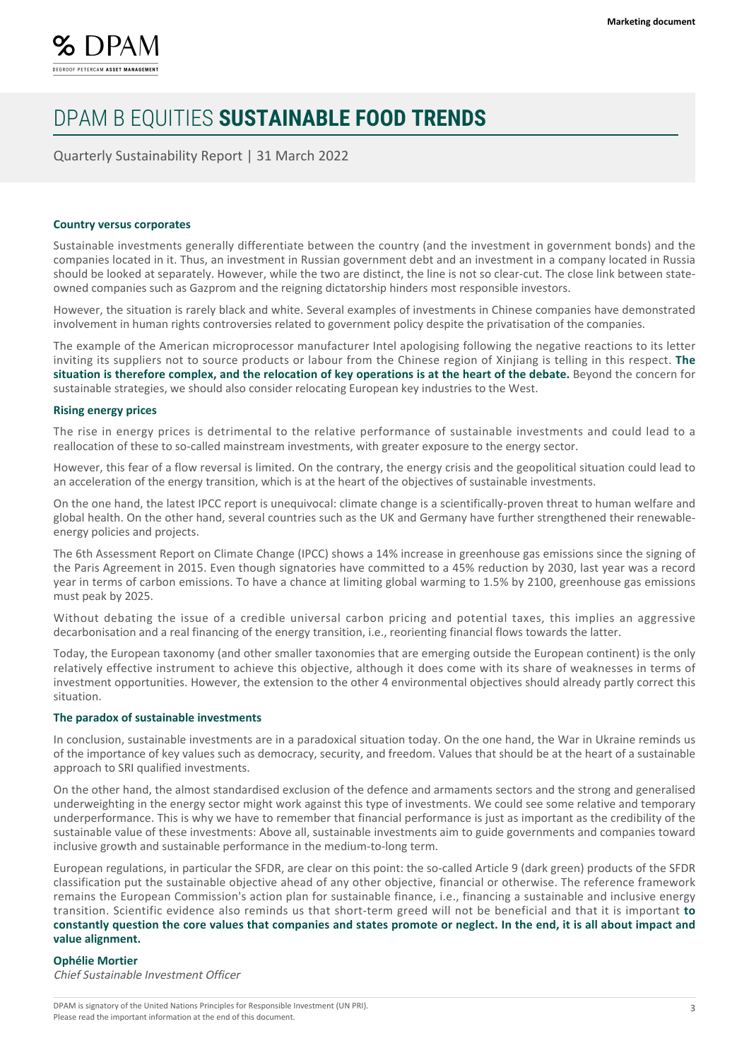

Quarterly Sustainability Report | 31 March 2022

#### **Country versus corporates**

Sustainable investments generally differentiate between the country (and the investment in government bonds) and the companies located in it. Thus, an investment in Russian government debt and an investment in a company located in Russia should be looked at separately. However, while the two are distinct, the line is not so clear-cut. The close link between stateowned companies such as Gazprom and the reigning dictatorship hinders most responsible investors.

However, the situation is rarely black and white. Several examples of investments in Chinese companies have demonstrated involvement in human rights controversies related to government policy despite the privatisation of the companies.

The example of the American microprocessor manufacturer Intel apologising following the negative reactions to its letter inviting its suppliers not to source products or labour from the Chinese region of Xinjiang is telling in this respect. **The situation is therefore complex, and the relocation of key operations is at the heart of the debate.** Beyond the concern for sustainable strategies, we should also consider relocating European key industries to the West.

#### **Rising energy prices**

The rise in energy prices is detrimental to the relative performance of sustainable investments and could lead to a reallocation of these to so-called mainstream investments, with greater exposure to the energy sector.

However, this fear of a flow reversal is limited. On the contrary, the energy crisis and the geopolitical situation could lead to an acceleration of the energy transition, which is at the heart of the objectives of sustainable investments.

On the one hand, the latest IPCC report is unequivocal: climate change is a scientifically-proven threat to human welfare and global health. On the other hand, several countries such as the UK and Germany have further strengthened their renewableenergy policies and projects.

The 6th Assessment Report on Climate Change (IPCC) shows a 14% increase in greenhouse gas emissions since the signing of the Paris Agreement in 2015. Even though signatories have committed to a 45% reduction by 2030, last year was a record year in terms of carbon emissions. To have a chance at limiting global warming to 1.5% by 2100, greenhouse gas emissions must peak by 2025.

Without debating the issue of a credible universal carbon pricing and potential taxes, this implies an aggressive decarbonisation and a real financing of the energy transition, i.e., reorienting financial flows towards the latter.

Today, the European taxonomy (and other smaller taxonomies that are emerging outside the European continent) is the only relatively effective instrument to achieve this objective, although it does come with its share of weaknesses in terms of investment opportunities. However, the extension to the other 4 environmental objectives should already partly correct this situation.

#### **The paradox of sustainable investments**

In conclusion, sustainable investments are in a paradoxical situation today. On the one hand, the War in Ukraine reminds us of the importance of key values such as democracy, security, and freedom. Values that should be at the heart of a sustainable approach to SRI qualified investments.

On the other hand, the almost standardised exclusion of the defence and armaments sectors and the strong and generalised underweighting in the energy sector might work against this type of investments. We could see some relative and temporary underperformance. This is why we have to remember that financial performance is just as important as the credibility of the sustainable value of these investments: Above all, sustainable investments aim to guide governments and companies toward inclusive growth and sustainable performance in the medium-to-long term.

European regulations, in particular the SFDR, are clear on this point: the so-called Article 9 (dark green) products of the SFDR classification put the sustainable objective ahead of any other objective, financial or otherwise. The reference framework remains the European Commission's action plan for sustainable finance, i.e., financing a sustainable and inclusive energy transition. Scientific evidence also reminds us that short-term greed will not be beneficial and that it is important **to constantly question the core values that companies and states promote or neglect. In the end, it is all about impact and value alignment.**

#### **Ophélie Mortier**

Chief Sustainable Investment Officer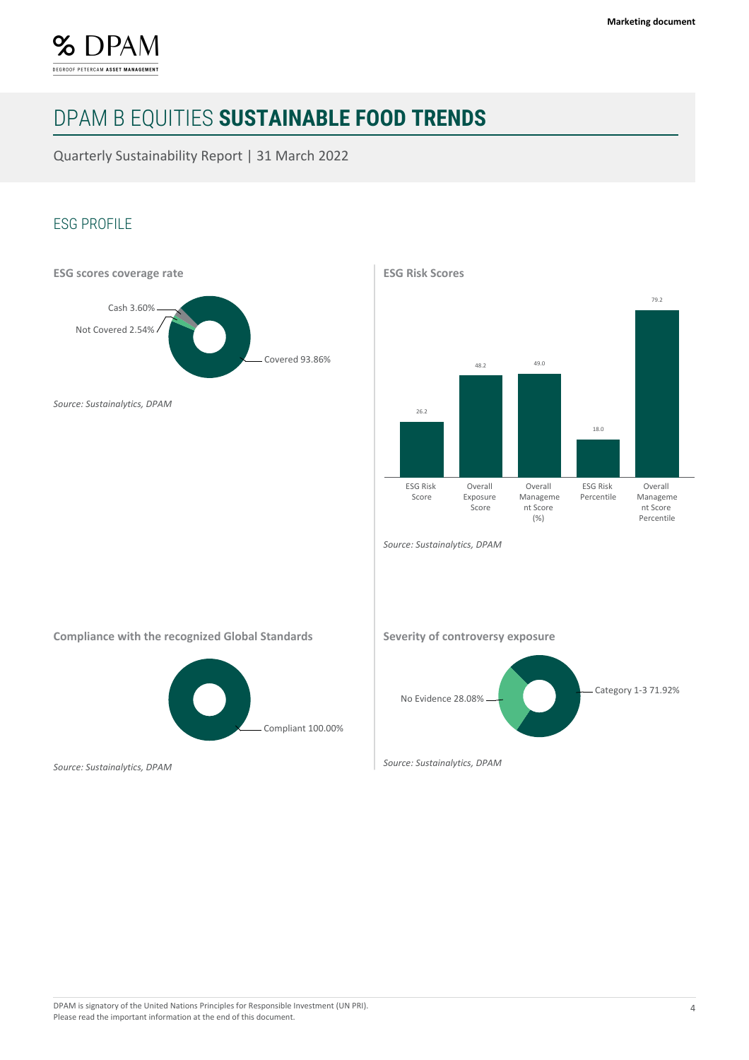

Quarterly Sustainability Report | 31 March 2022

### ESG PROFILE



**ESG Risk Scores**



*Source: Sustainalytics, DPAM*

**Compliance with the recognized Global Standards**



*Source: Sustainalytics, DPAM*

**Severity of controversy exposure**



*Source: Sustainalytics, DPAM*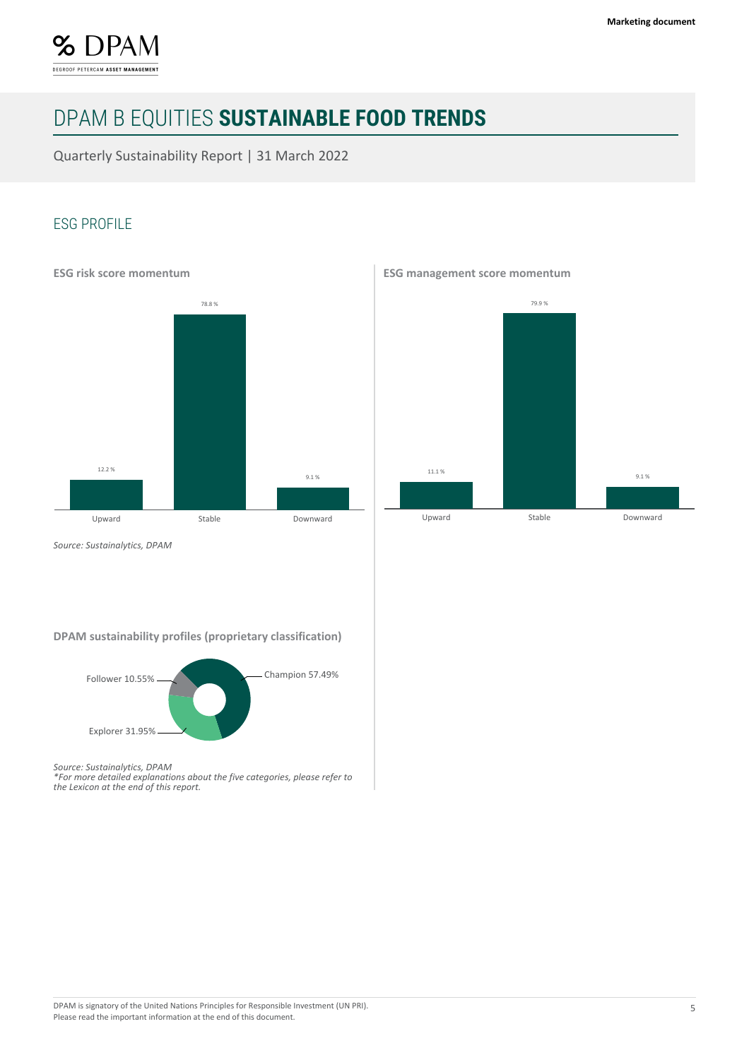

Quarterly Sustainability Report | 31 March 2022

### ESG PROFILE



**ESG management score momentum**



*Source: Sustainalytics, DPAM*

**DPAM sustainability profiles (proprietary classification)**



*Source: Sustainalytics, DPAM*

*\*For more detailed explanations about the five categories, please refer to the Lexicon at the end of this report.*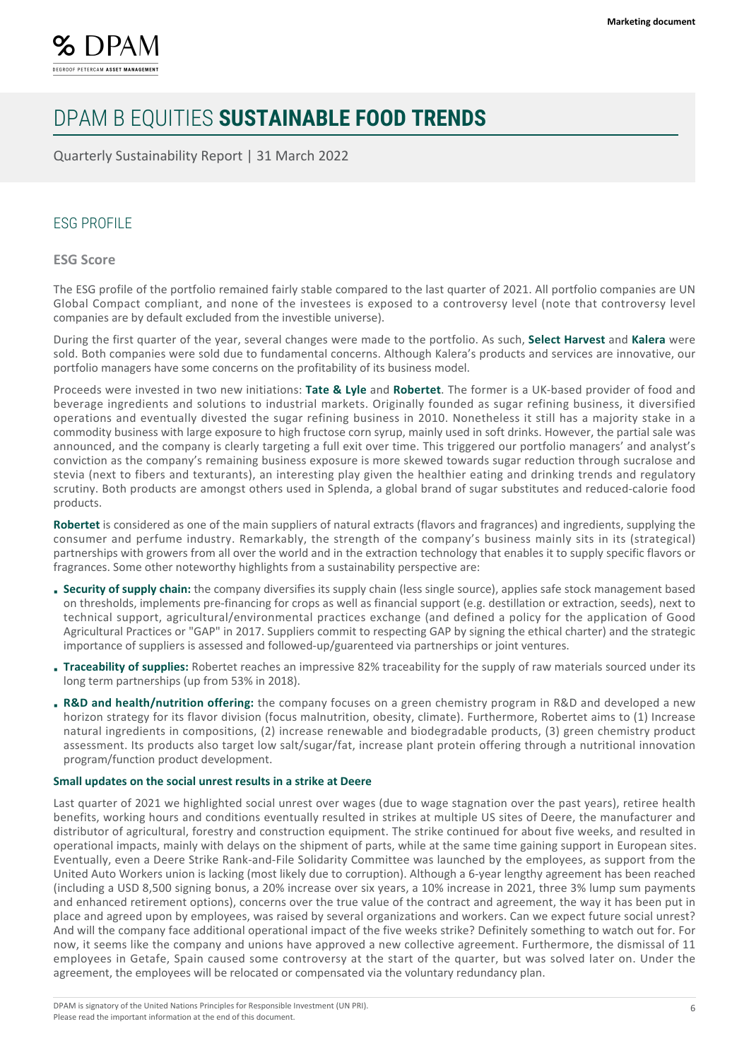

Quarterly Sustainability Report | 31 March 2022

### ESG PROFILE

**ESG Score**

The ESG profile of the portfolio remained fairly stable compared to the last quarter of 2021. All portfolio companies are UN Global Compact compliant, and none of the investees is exposed to a controversy level (note that controversy level companies are by default excluded from the investible universe).

During the first quarter of the year, several changes were made to the portfolio. As such, **Select Harvest** and **Kalera** were sold. Both companies were sold due to fundamental concerns. Although Kalera's products and services are innovative, our portfolio managers have some concerns on the profitability of its business model.

Proceeds were invested in two new initiations: **Tate & Lyle** and **Robertet**. The former is a UK-based provider of food and beverage ingredients and solutions to industrial markets. Originally founded as sugar refining business, it diversified operations and eventually divested the sugar refining business in 2010. Nonetheless it still has a majority stake in a commodity business with large exposure to high fructose corn syrup, mainly used in soft drinks. However, the partial sale was announced, and the company is clearly targeting a full exit over time. This triggered our portfolio managers' and analyst's conviction as the company's remaining business exposure is more skewed towards sugar reduction through sucralose and stevia (next to fibers and texturants), an interesting play given the healthier eating and drinking trends and regulatory scrutiny. Both products are amongst others used in Splenda, a global brand of sugar substitutes and reduced-calorie food products.

**Robertet** is considered as one of the main suppliers of natural extracts (flavors and fragrances) and ingredients, supplying the consumer and perfume industry. Remarkably, the strength of the company's business mainly sits in its (strategical) partnerships with growers from all over the world and in the extraction technology that enables it to supply specific flavors or fragrances. Some other noteworthy highlights from a sustainability perspective are:

- **Security of supply chain:** the company diversifies its supply chain (less single source), applies safe stock management based on thresholds, implements pre-financing for crops as well as financial support (e.g. destillation or extraction, seeds), next to technical support, agricultural/environmental practices exchange (and defined a policy for the application of Good Agricultural Practices or "GAP" in 2017. Suppliers commit to respecting GAP by signing the ethical charter) and the strategic importance of suppliers is assessed and followed-up/guarenteed via partnerships or joint ventures.
- **Traceability of supplies:** Robertet reaches an impressive 82% traceability for the supply of raw materials sourced under its long term partnerships (up from 53% in 2018).
- **R&D and health/nutrition offering:** the company focuses on a green chemistry program in R&D and developed a new horizon strategy for its flavor division (focus malnutrition, obesity, climate). Furthermore, Robertet aims to (1) Increase natural ingredients in compositions, (2) increase renewable and biodegradable products, (3) green chemistry product assessment. Its products also target low salt/sugar/fat, increase plant protein offering through a nutritional innovation program/function product development.

#### **Small updates on the social unrest results in a strike at Deere**

Last quarter of 2021 we highlighted social unrest over wages (due to wage stagnation over the past years), retiree health benefits, working hours and conditions eventually resulted in strikes at multiple US sites of Deere, the manufacturer and distributor of agricultural, forestry and construction equipment. The strike continued for about five weeks, and resulted in operational impacts, mainly with delays on the shipment of parts, while at the same time gaining support in European sites. Eventually, even a Deere Strike Rank-and-File Solidarity Committee was launched by the employees, as support from the United Auto Workers union is lacking (most likely due to corruption). Although a 6-year lengthy agreement has been reached (including a USD 8,500 signing bonus, a 20% increase over six years, a 10% increase in 2021, three 3% lump sum payments and enhanced retirement options), concerns over the true value of the contract and agreement, the way it has been put in place and agreed upon by employees, was raised by several organizations and workers. Can we expect future social unrest? And will the company face additional operational impact of the five weeks strike? Definitely something to watch out for. For now, it seems like the company and unions have approved a new collective agreement. Furthermore, the dismissal of 11 employees in Getafe, Spain caused some controversy at the start of the quarter, but was solved later on. Under the agreement, the employees will be relocated or compensated via the voluntary redundancy plan.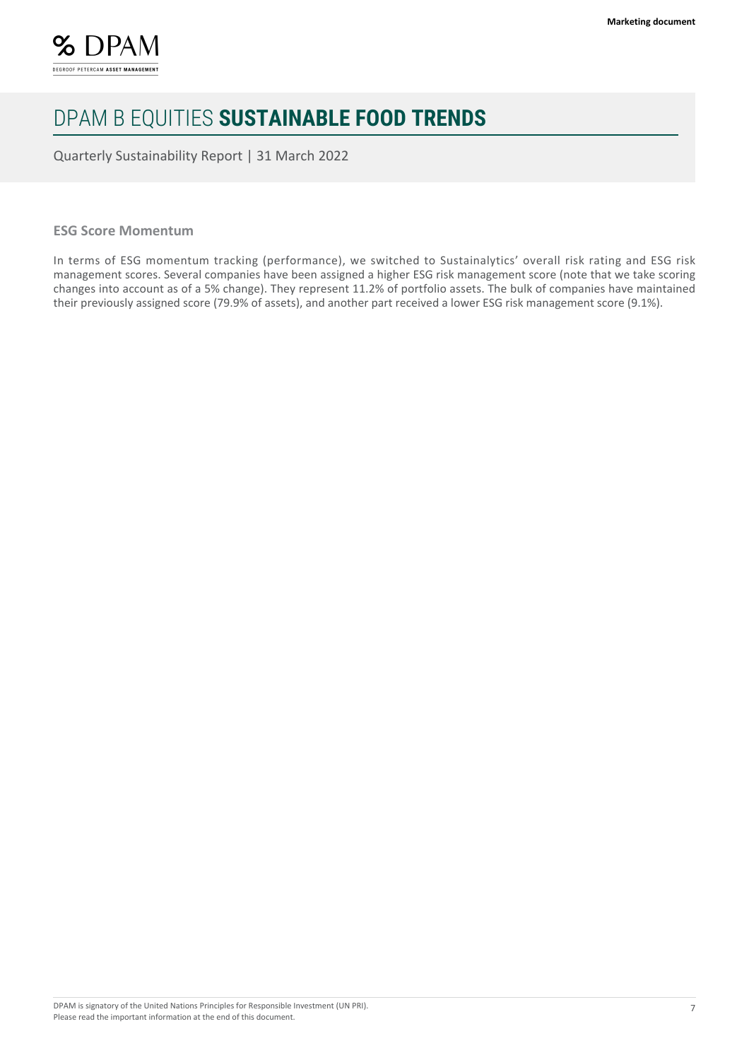

Quarterly Sustainability Report | 31 March 2022

#### **ESG Score Momentum**

In terms of ESG momentum tracking (performance), we switched to Sustainalytics' overall risk rating and ESG risk management scores. Several companies have been assigned a higher ESG risk management score (note that we take scoring changes into account as of a 5% change). They represent 11.2% of portfolio assets. The bulk of companies have maintained their previously assigned score (79.9% of assets), and another part received a lower ESG risk management score (9.1%).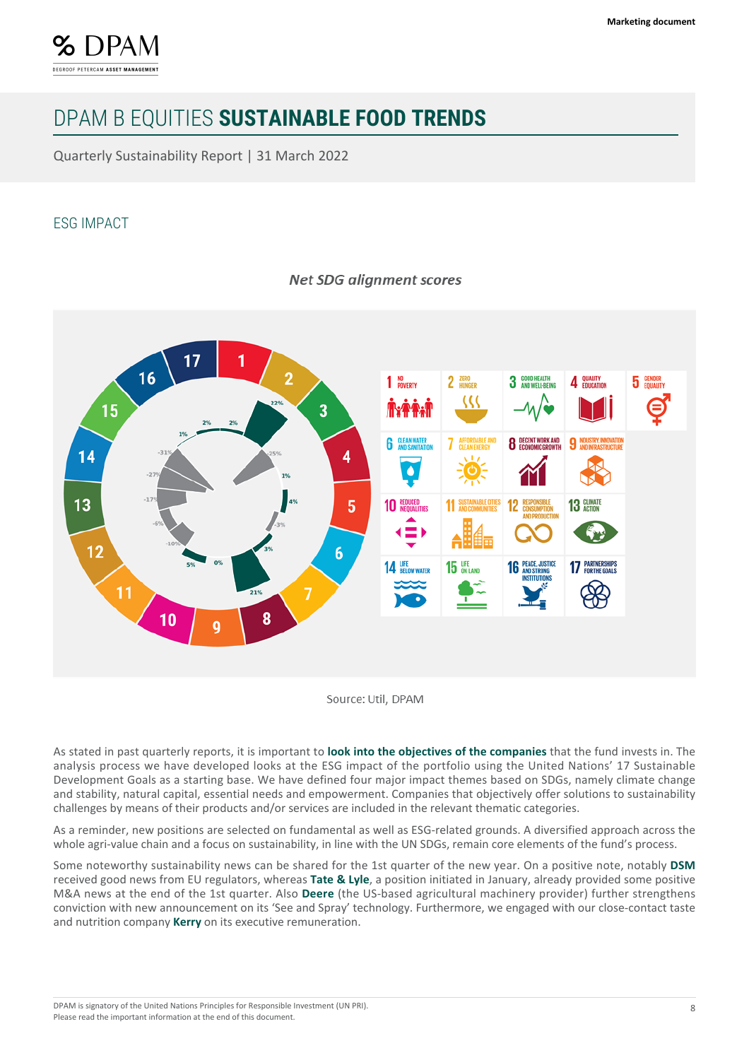

Quarterly Sustainability Report | 31 March 2022

### ESG IMPACT



### **Net SDG alianment scores**

Source: Util. DPAM

As stated in past quarterly reports, it is important to **look into the objectives of the companies** that the fund invests in. The analysis process we have developed looks at the ESG impact of the portfolio using the United Nations' 17 Sustainable Development Goals as a starting base. We have defined four major impact themes based on SDGs, namely climate change and stability, natural capital, essential needs and empowerment. Companies that objectively offer solutions to sustainability challenges by means of their products and/or services are included in the relevant thematic categories.

As a reminder, new positions are selected on fundamental as well as ESG-related grounds. A diversified approach across the whole agri-value chain and a focus on sustainability, in line with the UN SDGs, remain core elements of the fund's process.

Some noteworthy sustainability news can be shared for the 1st quarter of the new year. On a positive note, notably **DSM** received good news from EU regulators, whereas **Tate & Lyle**, a position initiated in January, already provided some positive M&A news at the end of the 1st quarter. Also **Deere** (the US-based agricultural machinery provider) further strengthens conviction with new announcement on its 'See and Spray' technology. Furthermore, we engaged with our close-contact taste and nutrition company **Kerry** on its executive remuneration.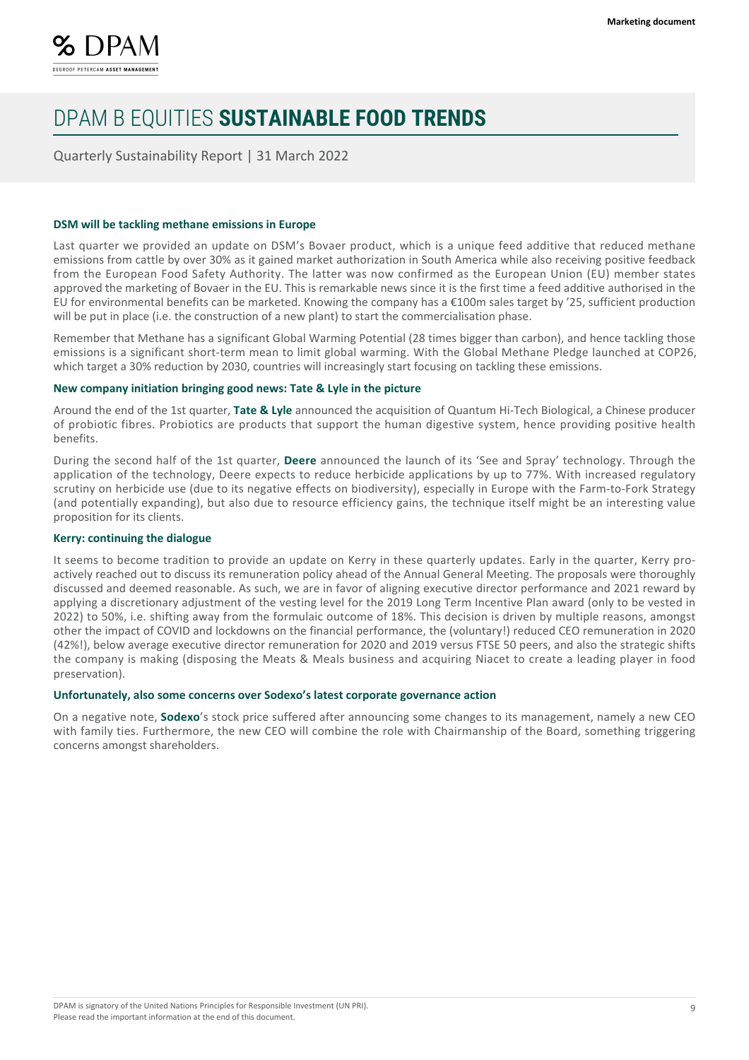

Quarterly Sustainability Report | 31 March 2022

#### **DSM will be tackling methane emissions in Europe**

Last quarter we provided an update on DSM's Bovaer product, which is a unique feed additive that reduced methane emissions from cattle by over 30% as it gained market authorization in South America while also receiving positive feedback from the European Food Safety Authority. The latter was now confirmed as the European Union (EU) member states approved the marketing of Bovaer in the EU. This is remarkable news since it is the first time a feed additive authorised in the EU for environmental benefits can be marketed. Knowing the company has a  $\epsilon$ 100m sales target by '25, sufficient production will be put in place (i.e. the construction of a new plant) to start the commercialisation phase.

Remember that Methane has a significant Global Warming Potential (28 times bigger than carbon), and hence tackling those emissions is a significant short-term mean to limit global warming. With the Global Methane Pledge launched at COP26, which target a 30% reduction by 2030, countries will increasingly start focusing on tackling these emissions.

#### **New company initiation bringing good news: Tate & Lyle in the picture**

Around the end of the 1st quarter, **Tate & Lyle** announced the acquisition of Quantum Hi-Tech Biological, a Chinese producer of probiotic fibres. Probiotics are products that support the human digestive system, hence providing positive health benefits.

During the second half of the 1st quarter, **Deere** announced the launch of its 'See and Spray' technology. Through the application of the technology, Deere expects to reduce herbicide applications by up to 77%. With increased regulatory scrutiny on herbicide use (due to its negative effects on biodiversity), especially in Europe with the Farm-to-Fork Strategy (and potentially expanding), but also due to resource efficiency gains, the technique itself might be an interesting value proposition for its clients.

#### **Kerry: continuing the dialogue**

It seems to become tradition to provide an update on Kerry in these quarterly updates. Early in the quarter, Kerry proactively reached out to discuss its remuneration policy ahead of the Annual General Meeting. The proposals were thoroughly discussed and deemed reasonable. As such, we are in favor of aligning executive director performance and 2021 reward by applying a discretionary adjustment of the vesting level for the 2019 Long Term Incentive Plan award (only to be vested in 2022) to 50%, i.e. shifting away from the formulaic outcome of 18%. This decision is driven by multiple reasons, amongst other the impact of COVID and lockdowns on the financial performance, the (voluntary!) reduced CEO remuneration in 2020 (42%!), below average executive director remuneration for 2020 and 2019 versus FTSE 50 peers, and also the strategic shifts the company is making (disposing the Meats & Meals business and acquiring Niacet to create a leading player in food preservation).

#### **Unfortunately, also some concerns over Sodexo's latest corporate governance action**

On a negative note, **Sodexo**'s stock price suffered after announcing some changes to its management, namely a new CEO with family ties. Furthermore, the new CEO will combine the role with Chairmanship of the Board, something triggering concerns amongst shareholders.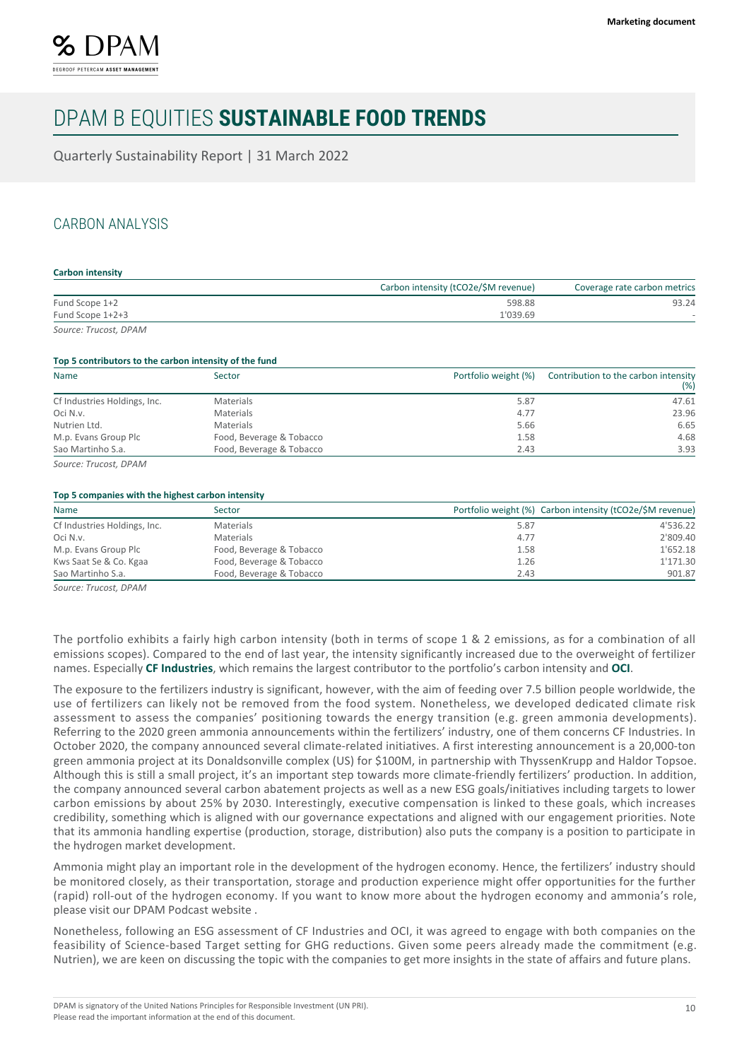

Quarterly Sustainability Report | 31 March 2022

### CARBON ANALYSIS

#### **Carbon intensity**

|                       | Carbon intensity (tCO2e/\$M revenue) | Coverage rate carbon metrics |
|-----------------------|--------------------------------------|------------------------------|
| Fund Scope 1+2        | 598.88                               | 93.24                        |
| Fund Scope 1+2+3      | 1'039.69                             |                              |
| Source: Trucost, DPAM |                                      |                              |

#### **Top 5 contributors to the carbon intensity of the fund**

| Name                         | Sector                   | Portfolio weight (%) | Contribution to the carbon intensity<br>(% ) |
|------------------------------|--------------------------|----------------------|----------------------------------------------|
| Cf Industries Holdings, Inc. | Materials                | 5.87                 | 47.61                                        |
| Oci N.v.                     | Materials                | 4.77                 | 23.96                                        |
| Nutrien Ltd.                 | Materials                | 5.66                 | 6.65                                         |
| M.p. Evans Group Plc         | Food, Beverage & Tobacco | 1.58                 | 4.68                                         |
| Sao Martinho S.a.            | Food, Beverage & Tobacco | 2.43                 | 3.93                                         |

*Source: Trucost, DPAM*

#### **Top 5 companies with the highest carbon intensity**

| Name                         | Sector                   |      | Portfolio weight (%) Carbon intensity (tCO2e/\$M revenue) |
|------------------------------|--------------------------|------|-----------------------------------------------------------|
| Cf Industries Holdings, Inc. | Materials                | 5.87 | 4'536.22                                                  |
| Oci N.v.                     | Materials                | 4.77 | 2'809.40                                                  |
| M.p. Evans Group Plc         | Food, Beverage & Tobacco | 1.58 | 1'652.18                                                  |
| Kws Saat Se & Co. Kgaa       | Food, Beverage & Tobacco | 1.26 | 1'171.30                                                  |
| Sao Martinho S.a.            | Food, Beverage & Tobacco | 2.43 | 901.87                                                    |

*Source: Trucost, DPAM*

The portfolio exhibits a fairly high carbon intensity (both in terms of scope 1 & 2 emissions, as for a combination of all emissions scopes). Compared to the end of last year, the intensity significantly increased due to the overweight of fertilizer names. Especially **CF Industries**, which remains the largest contributor to the portfolio's carbon intensity and **OCI**.

The exposure to the fertilizers industry is significant, however, with the aim of feeding over 7.5 billion people worldwide, the use of fertilizers can likely not be removed from the food system. Nonetheless, we developed dedicated climate risk assessment to assess the companies' positioning towards the energy transition (e.g. green ammonia developments). Referring to the 2020 green ammonia announcements within the fertilizers' industry, one of them concerns CF Industries. In October 2020, the company announced several climate-related initiatives. A first interesting announcement is a 20,000-ton green ammonia project at its Donaldsonville complex (US) for \$100M, in partnership with ThyssenKrupp and Haldor Topsoe. Although this is still a small project, it's an important step towards more climate-friendly fertilizers' production. In addition, the company announced several carbon abatement projects as well as a new ESG goals/initiatives including targets to lower carbon emissions by about 25% by 2030. Interestingly, executive compensation is linked to these goals, which increases credibility, something which is aligned with our governance expectations and aligned with our engagement priorities. Note that its ammonia handling expertise (production, storage, distribution) also puts the company is a position to participate in the hydrogen market development.

Ammonia might play an important role in the development of the hydrogen economy. Hence, the fertilizers' industry should be monitored closely, as their transportation, storage and production experience might offer opportunities for the further (rapid) roll-out of the hydrogen economy. If you want to know more about the hydrogen economy and ammonia's role, please visit our DPAM Podcast website .

Nonetheless, following an ESG assessment of CF Industries and OCI, it was agreed to engage with both companies on the feasibility of Science-based Target setting for GHG reductions. Given some peers already made the commitment (e.g. Nutrien), we are keen on discussing the topic with the companies to get more insights in the state of affairs and future plans.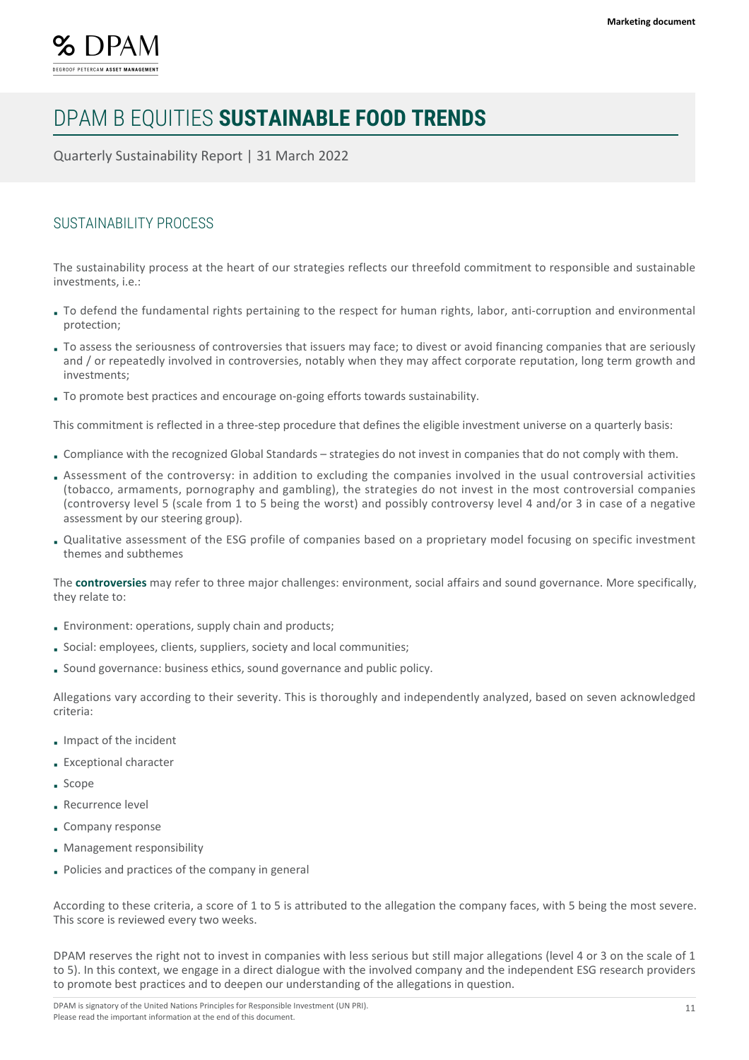

Quarterly Sustainability Report | 31 March 2022

### SUSTAINABILITY PROCESS

The sustainability process at the heart of our strategies reflects our threefold commitment to responsible and sustainable investments, i.e.:

- To defend the fundamental rights pertaining to the respect for human rights, labor, anti-corruption and environmental protection;
- To assess the seriousness of controversies that issuers may face; to divest or avoid financing companies that are seriously and / or repeatedly involved in controversies, notably when they may affect corporate reputation, long term growth and investments;
- To promote best practices and encourage on-going efforts towards sustainability.

This commitment is reflected in a three-step procedure that defines the eligible investment universe on a quarterly basis:

- Compliance with the recognized Global Standards strategies do not invest in companies that do not comply with them.
- Assessment of the controversy: in addition to excluding the companies involved in the usual controversial activities (tobacco, armaments, pornography and gambling), the strategies do not invest in the most controversial companies (controversy level 5 (scale from 1 to 5 being the worst) and possibly controversy level 4 and/or 3 in case of a negative assessment by our steering group).
- Qualitative assessment of the ESG profile of companies based on a proprietary model focusing on specific investment themes and subthemes

The **controversies** may refer to three major challenges: environment, social affairs and sound governance. More specifically, they relate to:

- Environment: operations, supply chain and products;
- Social: employees, clients, suppliers, society and local communities;
- Sound governance: business ethics, sound governance and public policy.

Allegations vary according to their severity. This is thoroughly and independently analyzed, based on seven acknowledged criteria:

- Impact of the incident
- Exceptional character
- Scope
- Recurrence level
- Company response
- Management responsibility
- Policies and practices of the company in general

According to these criteria, a score of 1 to 5 is attributed to the allegation the company faces, with 5 being the most severe. This score is reviewed every two weeks.

DPAM reserves the right not to invest in companies with less serious but still major allegations (level 4 or 3 on the scale of 1 to 5). In this context, we engage in a direct dialogue with the involved company and the independent ESG research providers to promote best practices and to deepen our understanding of the allegations in question.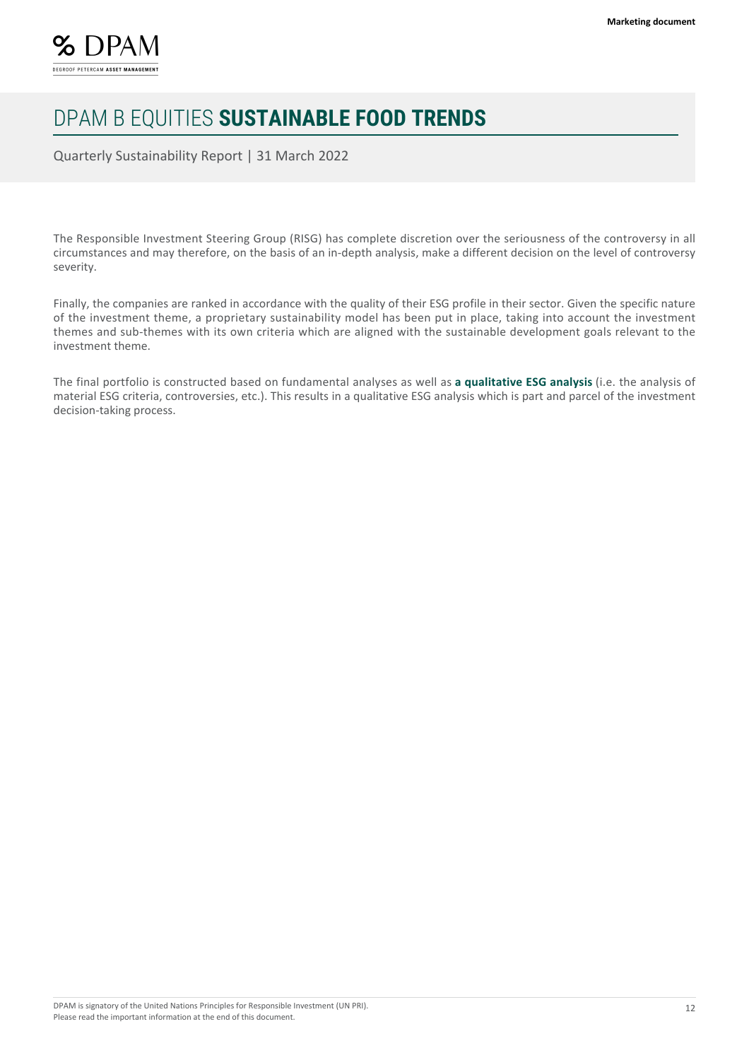

Quarterly Sustainability Report | 31 March 2022

The Responsible Investment Steering Group (RISG) has complete discretion over the seriousness of the controversy in all circumstances and may therefore, on the basis of an in-depth analysis, make a different decision on the level of controversy severity.

Finally, the companies are ranked in accordance with the quality of their ESG profile in their sector. Given the specific nature of the investment theme, a proprietary sustainability model has been put in place, taking into account the investment themes and sub-themes with its own criteria which are aligned with the sustainable development goals relevant to the investment theme.

The final portfolio is constructed based on fundamental analyses as well as **a qualitative ESG analysis** (i.e. the analysis of material ESG criteria, controversies, etc.). This results in a qualitative ESG analysis which is part and parcel of the investment decision-taking process.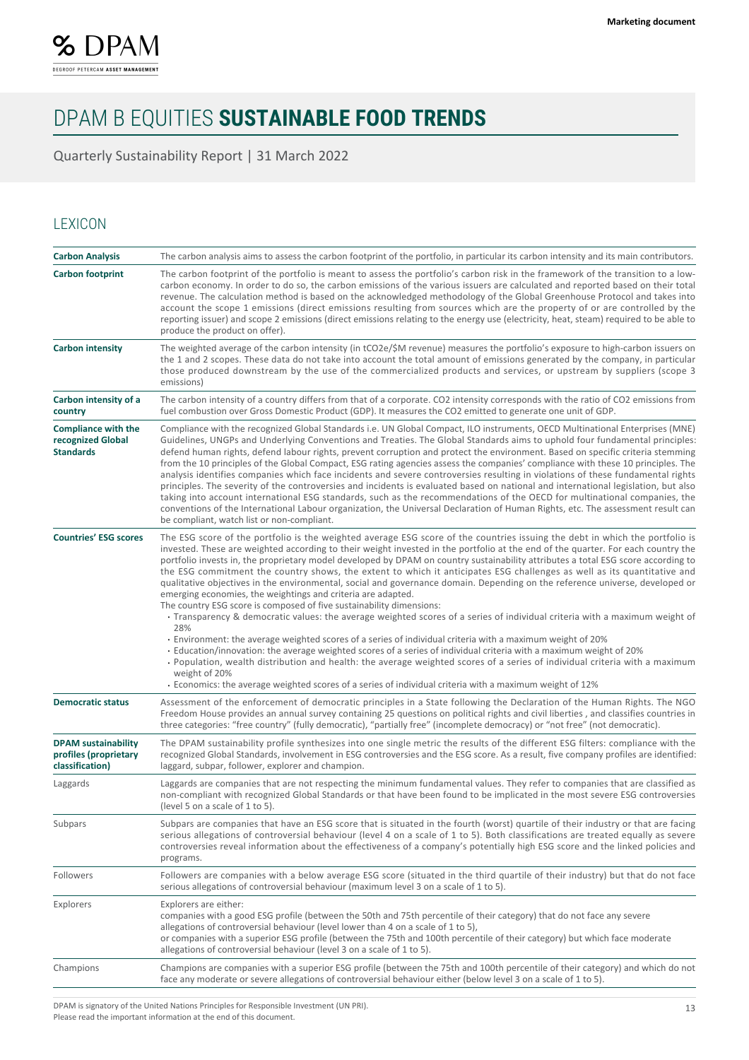

Quarterly Sustainability Report | 31 March 2022

### LEXICON

| <b>Carbon Analysis</b>                                                 | The carbon analysis aims to assess the carbon footprint of the portfolio, in particular its carbon intensity and its main contributors.                                                                                                                                                                                                                                                                                                                                                                                                                                                                                                                                                                                                                                                                                                                                                                                                                                                                                                                                                                                                                                                                                                                                                                                                                                                                                                 |
|------------------------------------------------------------------------|-----------------------------------------------------------------------------------------------------------------------------------------------------------------------------------------------------------------------------------------------------------------------------------------------------------------------------------------------------------------------------------------------------------------------------------------------------------------------------------------------------------------------------------------------------------------------------------------------------------------------------------------------------------------------------------------------------------------------------------------------------------------------------------------------------------------------------------------------------------------------------------------------------------------------------------------------------------------------------------------------------------------------------------------------------------------------------------------------------------------------------------------------------------------------------------------------------------------------------------------------------------------------------------------------------------------------------------------------------------------------------------------------------------------------------------------|
| <b>Carbon footprint</b>                                                | The carbon footprint of the portfolio is meant to assess the portfolio's carbon risk in the framework of the transition to a low-<br>carbon economy. In order to do so, the carbon emissions of the various issuers are calculated and reported based on their total<br>revenue. The calculation method is based on the acknowledged methodology of the Global Greenhouse Protocol and takes into<br>account the scope 1 emissions (direct emissions resulting from sources which are the property of or are controlled by the<br>reporting issuer) and scope 2 emissions (direct emissions relating to the energy use (electricity, heat, steam) required to be able to<br>produce the product on offer).                                                                                                                                                                                                                                                                                                                                                                                                                                                                                                                                                                                                                                                                                                                              |
| <b>Carbon intensity</b>                                                | The weighted average of the carbon intensity (in tCO2e/\$M revenue) measures the portfolio's exposure to high-carbon issuers on<br>the 1 and 2 scopes. These data do not take into account the total amount of emissions generated by the company, in particular<br>those produced downstream by the use of the commercialized products and services, or upstream by suppliers (scope 3<br>emissions)                                                                                                                                                                                                                                                                                                                                                                                                                                                                                                                                                                                                                                                                                                                                                                                                                                                                                                                                                                                                                                   |
| Carbon intensity of a<br>country                                       | The carbon intensity of a country differs from that of a corporate. CO2 intensity corresponds with the ratio of CO2 emissions from<br>fuel combustion over Gross Domestic Product (GDP). It measures the CO2 emitted to generate one unit of GDP.                                                                                                                                                                                                                                                                                                                                                                                                                                                                                                                                                                                                                                                                                                                                                                                                                                                                                                                                                                                                                                                                                                                                                                                       |
| <b>Compliance with the</b><br>recognized Global<br><b>Standards</b>    | Compliance with the recognized Global Standards i.e. UN Global Compact, ILO instruments, OECD Multinational Enterprises (MNE)<br>Guidelines, UNGPs and Underlying Conventions and Treaties. The Global Standards aims to uphold four fundamental principles:<br>defend human rights, defend labour rights, prevent corruption and protect the environment. Based on specific criteria stemming<br>from the 10 principles of the Global Compact, ESG rating agencies assess the companies' compliance with these 10 principles. The<br>analysis identifies companies which face incidents and severe controversies resulting in violations of these fundamental rights<br>principles. The severity of the controversies and incidents is evaluated based on national and international legislation, but also<br>taking into account international ESG standards, such as the recommendations of the OECD for multinational companies, the<br>conventions of the International Labour organization, the Universal Declaration of Human Rights, etc. The assessment result can<br>be compliant, watch list or non-compliant.                                                                                                                                                                                                                                                                                                               |
| <b>Countries' ESG scores</b>                                           | The ESG score of the portfolio is the weighted average ESG score of the countries issuing the debt in which the portfolio is<br>invested. These are weighted according to their weight invested in the portfolio at the end of the quarter. For each country the<br>portfolio invests in, the proprietary model developed by DPAM on country sustainability attributes a total ESG score according to<br>the ESG commitment the country shows, the extent to which it anticipates ESG challenges as well as its quantitative and<br>qualitative objectives in the environmental, social and governance domain. Depending on the reference universe, developed or<br>emerging economies, the weightings and criteria are adapted.<br>The country ESG score is composed of five sustainability dimensions:<br>Transparency & democratic values: the average weighted scores of a series of individual criteria with a maximum weight of<br>28%<br>Environment: the average weighted scores of a series of individual criteria with a maximum weight of 20%<br>Education/innovation: the average weighted scores of a series of individual criteria with a maximum weight of 20%<br>· Population, wealth distribution and health: the average weighted scores of a series of individual criteria with a maximum<br>weight of 20%<br>Economics: the average weighted scores of a series of individual criteria with a maximum weight of 12% |
| <b>Democratic status</b>                                               | Assessment of the enforcement of democratic principles in a State following the Declaration of the Human Rights. The NGO<br>Freedom House provides an annual survey containing 25 questions on political rights and civil liberties, and classifies countries in<br>three categories: "free country" (fully democratic), "partially free" (incomplete democracy) or "not free" (not democratic).                                                                                                                                                                                                                                                                                                                                                                                                                                                                                                                                                                                                                                                                                                                                                                                                                                                                                                                                                                                                                                        |
| <b>DPAM</b> sustainability<br>profiles (proprietary<br>classification) | The DPAM sustainability profile synthesizes into one single metric the results of the different ESG filters: compliance with the<br>recognized Global Standards, involvement in ESG controversies and the ESG score. As a result, five company profiles are identified:<br>laggard, subpar, follower, explorer and champion.                                                                                                                                                                                                                                                                                                                                                                                                                                                                                                                                                                                                                                                                                                                                                                                                                                                                                                                                                                                                                                                                                                            |
| Laggards                                                               | Laggards are companies that are not respecting the minimum fundamental values. They refer to companies that are classified as<br>non-compliant with recognized Global Standards or that have been found to be implicated in the most severe ESG controversies<br>(level 5 on a scale of 1 to 5).                                                                                                                                                                                                                                                                                                                                                                                                                                                                                                                                                                                                                                                                                                                                                                                                                                                                                                                                                                                                                                                                                                                                        |
| Subpars                                                                | Subpars are companies that have an ESG score that is situated in the fourth (worst) quartile of their industry or that are facing<br>serious allegations of controversial behaviour (level 4 on a scale of 1 to 5). Both classifications are treated equally as severe<br>controversies reveal information about the effectiveness of a company's potentially high ESG score and the linked policies and<br>programs.                                                                                                                                                                                                                                                                                                                                                                                                                                                                                                                                                                                                                                                                                                                                                                                                                                                                                                                                                                                                                   |
| Followers                                                              | Followers are companies with a below average ESG score (situated in the third quartile of their industry) but that do not face<br>serious allegations of controversial behaviour (maximum level 3 on a scale of 1 to 5).                                                                                                                                                                                                                                                                                                                                                                                                                                                                                                                                                                                                                                                                                                                                                                                                                                                                                                                                                                                                                                                                                                                                                                                                                |
| Explorers                                                              | Explorers are either:<br>companies with a good ESG profile (between the 50th and 75th percentile of their category) that do not face any severe<br>allegations of controversial behaviour (level lower than 4 on a scale of 1 to 5),<br>or companies with a superior ESG profile (between the 75th and 100th percentile of their category) but which face moderate<br>allegations of controversial behaviour (level 3 on a scale of 1 to 5).                                                                                                                                                                                                                                                                                                                                                                                                                                                                                                                                                                                                                                                                                                                                                                                                                                                                                                                                                                                            |
| Champions                                                              | Champions are companies with a superior ESG profile (between the 75th and 100th percentile of their category) and which do not<br>face any moderate or severe allegations of controversial behaviour either (below level 3 on a scale of 1 to 5).                                                                                                                                                                                                                                                                                                                                                                                                                                                                                                                                                                                                                                                                                                                                                                                                                                                                                                                                                                                                                                                                                                                                                                                       |

DPAM is signatory of the United Nations Principles for Responsible Investment (UN PRI). Please read the important information at the end of this document.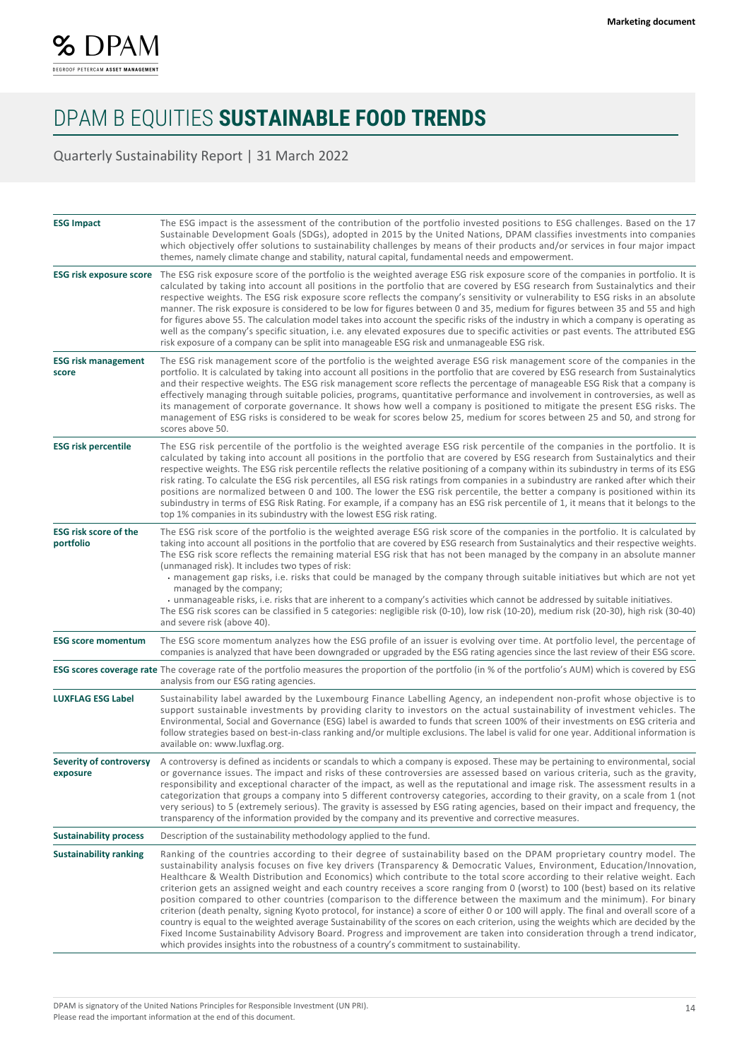

Quarterly Sustainability Report | 31 March 2022

| <b>ESG Impact</b>                         | The ESG impact is the assessment of the contribution of the portfolio invested positions to ESG challenges. Based on the 17<br>Sustainable Development Goals (SDGs), adopted in 2015 by the United Nations, DPAM classifies investments into companies<br>which objectively offer solutions to sustainability challenges by means of their products and/or services in four major impact<br>themes, namely climate change and stability, natural capital, fundamental needs and empowerment.                                                                                                                                                                                                                                                                                                                                                                                                                                                                                                                                                                                                                                                              |
|-------------------------------------------|-----------------------------------------------------------------------------------------------------------------------------------------------------------------------------------------------------------------------------------------------------------------------------------------------------------------------------------------------------------------------------------------------------------------------------------------------------------------------------------------------------------------------------------------------------------------------------------------------------------------------------------------------------------------------------------------------------------------------------------------------------------------------------------------------------------------------------------------------------------------------------------------------------------------------------------------------------------------------------------------------------------------------------------------------------------------------------------------------------------------------------------------------------------|
| <b>ESG risk exposure score</b>            | The ESG risk exposure score of the portfolio is the weighted average ESG risk exposure score of the companies in portfolio. It is<br>calculated by taking into account all positions in the portfolio that are covered by ESG research from Sustainalytics and their<br>respective weights. The ESG risk exposure score reflects the company's sensitivity or vulnerability to ESG risks in an absolute<br>manner. The risk exposure is considered to be low for figures between 0 and 35, medium for figures between 35 and 55 and high<br>for figures above 55. The calculation model takes into account the specific risks of the industry in which a company is operating as<br>well as the company's specific situation, i.e. any elevated exposures due to specific activities or past events. The attributed ESG<br>risk exposure of a company can be split into manageable ESG risk and unmanageable ESG risk.                                                                                                                                                                                                                                    |
| <b>ESG risk management</b><br>score       | The ESG risk management score of the portfolio is the weighted average ESG risk management score of the companies in the<br>portfolio. It is calculated by taking into account all positions in the portfolio that are covered by ESG research from Sustainalytics<br>and their respective weights. The ESG risk management score reflects the percentage of manageable ESG Risk that a company is<br>effectively managing through suitable policies, programs, quantitative performance and involvement in controversies, as well as<br>its management of corporate governance. It shows how well a company is positioned to mitigate the present ESG risks. The<br>management of ESG risks is considered to be weak for scores below 25, medium for scores between 25 and 50, and strong for<br>scores above 50.                                                                                                                                                                                                                                                                                                                                        |
| <b>ESG risk percentile</b>                | The ESG risk percentile of the portfolio is the weighted average ESG risk percentile of the companies in the portfolio. It is<br>calculated by taking into account all positions in the portfolio that are covered by ESG research from Sustainalytics and their<br>respective weights. The ESG risk percentile reflects the relative positioning of a company within its subindustry in terms of its ESG<br>risk rating. To calculate the ESG risk percentiles, all ESG risk ratings from companies in a subindustry are ranked after which their<br>positions are normalized between 0 and 100. The lower the ESG risk percentile, the better a company is positioned within its<br>subindustry in terms of ESG Risk Rating. For example, if a company has an ESG risk percentile of 1, it means that it belongs to the<br>top 1% companies in its subindustry with the lowest ESG risk rating.                                                                                                                                                                                                                                                         |
| <b>ESG risk score of the</b><br>portfolio | The ESG risk score of the portfolio is the weighted average ESG risk score of the companies in the portfolio. It is calculated by<br>taking into account all positions in the portfolio that are covered by ESG research from Sustainalytics and their respective weights.<br>The ESG risk score reflects the remaining material ESG risk that has not been managed by the company in an absolute manner<br>(unmanaged risk). It includes two types of risk:<br>• management gap risks, i.e. risks that could be managed by the company through suitable initiatives but which are not yet<br>managed by the company;<br>· unmanageable risks, i.e. risks that are inherent to a company's activities which cannot be addressed by suitable initiatives.<br>The ESG risk scores can be classified in 5 categories: negligible risk (0-10), low risk (10-20), medium risk (20-30), high risk (30-40)<br>and severe risk (above 40).                                                                                                                                                                                                                        |
| <b>ESG score momentum</b>                 | The ESG score momentum analyzes how the ESG profile of an issuer is evolving over time. At portfolio level, the percentage of<br>companies is analyzed that have been downgraded or upgraded by the ESG rating agencies since the last review of their ESG score.                                                                                                                                                                                                                                                                                                                                                                                                                                                                                                                                                                                                                                                                                                                                                                                                                                                                                         |
|                                           | <b>ESG scores coverage rate</b> The coverage rate of the portfolio measures the proportion of the portfolio (in % of the portfolio's AUM) which is covered by ESG<br>analysis from our ESG rating agencies.                                                                                                                                                                                                                                                                                                                                                                                                                                                                                                                                                                                                                                                                                                                                                                                                                                                                                                                                               |
| <b>LUXFLAG ESG Label</b>                  | Sustainability label awarded by the Luxembourg Finance Labelling Agency, an independent non-profit whose objective is to<br>support sustainable investments by providing clarity to investors on the actual sustainability of investment vehicles. The<br>Environmental, Social and Governance (ESG) label is awarded to funds that screen 100% of their investments on ESG criteria and<br>follow strategies based on best-in-class ranking and/or multiple exclusions. The label is valid for one year. Additional information is<br>available on: www.luxflag.org.                                                                                                                                                                                                                                                                                                                                                                                                                                                                                                                                                                                     |
| Severity of controversy<br>exposure       | A controversy is defined as incidents or scandals to which a company is exposed. These may be pertaining to environmental, social<br>or governance issues. The impact and risks of these controversies are assessed based on various criteria, such as the gravity,<br>responsibility and exceptional character of the impact, as well as the reputational and image risk. The assessment results in a<br>categorization that groups a company into 5 different controversy categories, according to their gravity, on a scale from 1 (not<br>very serious) to 5 (extremely serious). The gravity is assessed by ESG rating agencies, based on their impact and frequency, the<br>transparency of the information provided by the company and its preventive and corrective measures.                                                                                                                                                                                                                                                                                                                                                                     |
| <b>Sustainability process</b>             | Description of the sustainability methodology applied to the fund.                                                                                                                                                                                                                                                                                                                                                                                                                                                                                                                                                                                                                                                                                                                                                                                                                                                                                                                                                                                                                                                                                        |
| <b>Sustainability ranking</b>             | Ranking of the countries according to their degree of sustainability based on the DPAM proprietary country model. The<br>sustainability analysis focuses on five key drivers (Transparency & Democratic Values, Environment, Education/Innovation,<br>Healthcare & Wealth Distribution and Economics) which contribute to the total score according to their relative weight. Each<br>criterion gets an assigned weight and each country receives a score ranging from 0 (worst) to 100 (best) based on its relative<br>position compared to other countries (comparison to the difference between the maximum and the minimum). For binary<br>criterion (death penalty, signing Kyoto protocol, for instance) a score of either 0 or 100 will apply. The final and overall score of a<br>country is equal to the weighted average Sustainability of the scores on each criterion, using the weights which are decided by the<br>Fixed Income Sustainability Advisory Board. Progress and improvement are taken into consideration through a trend indicator,<br>which provides insights into the robustness of a country's commitment to sustainability. |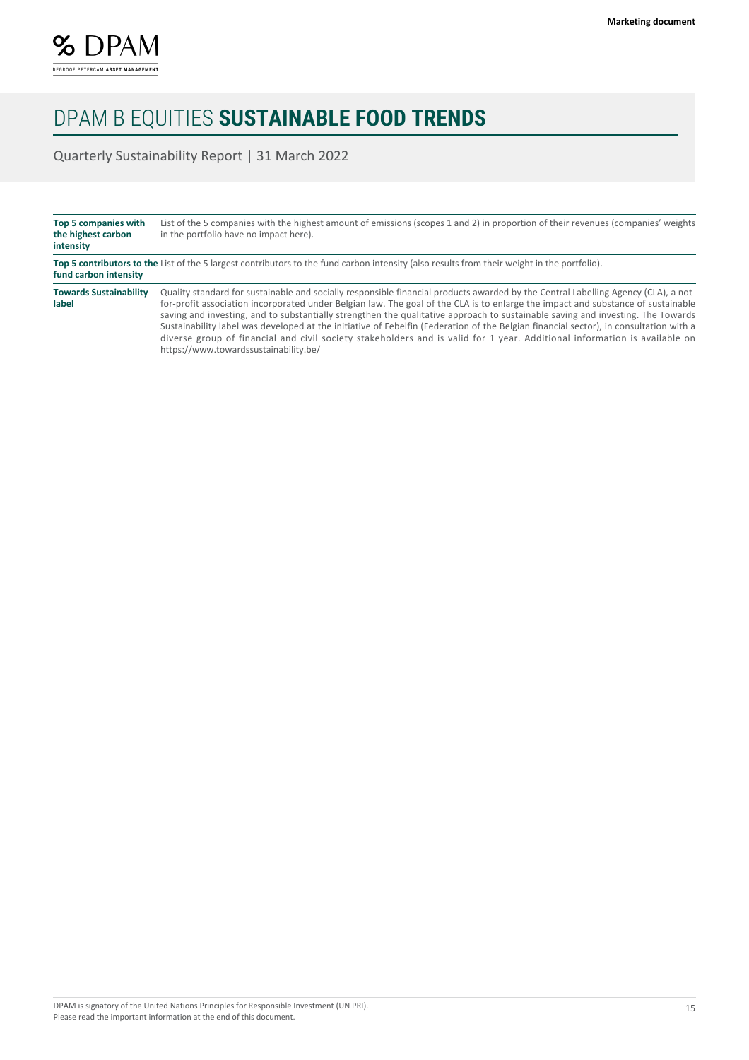

Quarterly Sustainability Report | 31 March 2022

| Top 5 companies with<br>the highest carbon<br>intensity | List of the 5 companies with the highest amount of emissions (scopes 1 and 2) in proportion of their revenues (companies' weights<br>in the portfolio have no impact here).                                                                                                                                                                                                                                                                                                                                                                                                                                                                                                                                              |
|---------------------------------------------------------|--------------------------------------------------------------------------------------------------------------------------------------------------------------------------------------------------------------------------------------------------------------------------------------------------------------------------------------------------------------------------------------------------------------------------------------------------------------------------------------------------------------------------------------------------------------------------------------------------------------------------------------------------------------------------------------------------------------------------|
| fund carbon intensity                                   | Top 5 contributors to the List of the 5 largest contributors to the fund carbon intensity (also results from their weight in the portfolio).                                                                                                                                                                                                                                                                                                                                                                                                                                                                                                                                                                             |
| <b>Towards Sustainability</b><br>label                  | Quality standard for sustainable and socially responsible financial products awarded by the Central Labelling Agency (CLA), a not-<br>for-profit association incorporated under Belgian law. The goal of the CLA is to enlarge the impact and substance of sustainable<br>saving and investing, and to substantially strengthen the qualitative approach to sustainable saving and investing. The Towards<br>Sustainability label was developed at the initiative of Febelfin (Federation of the Belgian financial sector), in consultation with a<br>diverse group of financial and civil society stakeholders and is valid for 1 year. Additional information is available on<br>https://www.towardssustainability.be/ |